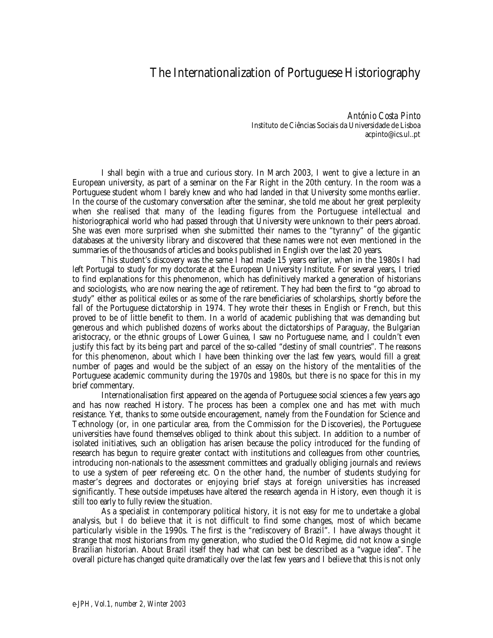## The Internationalization of Portuguese Historiography

*António Costa Pinto* Instituto de Ciências Sociais da Universidade de Lisboa acpinto@ics.ul..pt

I shall begin with a true and curious story. In March 2003, I went to give a lecture in an European university, as part of a seminar on the Far Right in the 20th century. In the room was a Portuguese student whom I barely knew and who had landed in that University some months earlier. In the course of the customary conversation after the seminar, she told me about her great perplexity when she realised that many of the leading figures from the Portuguese intellectual and historiographical world who had passed through that University were unknown to their peers abroad. She was even more surprised when she submitted their names to the "tyranny" of the gigantic databases at the university library and discovered that these names were not even mentioned in the summaries of the thousands of articles and books published in English over the last 20 years.

This student's discovery was the same I had made 15 years earlier, when in the 1980s I had left Portugal to study for my doctorate at the European University Institute. For several years, I tried to find explanations for this phenomenon, which has definitively marked a generation of historians and sociologists, who are now nearing the age of retirement. They had been the first to "go abroad to study" either as political exiles or as some of the rare beneficiaries of scholarships, shortly before the fall of the Portuguese dictatorship in 1974. They wrote their theses in English or French, but this proved to be of little benefit to them. In a world of academic publishing that was demanding but generous and which published dozens of works about the dictatorships of Paraguay, the Bulgarian aristocracy, or the ethnic groups of Lower Guinea, I saw no Portuguese name, and I couldn't even justify this fact by its being part and parcel of the so-called "destiny of small countries". The reasons for this phenomenon, about which I have been thinking over the last few years, would fill a great number of pages and would be the subject of an essay on the history of the mentalities of the Portuguese academic community during the 1970s and 1980s, but there is no space for this in my brief commentary.

Internationalisation first appeared on the agenda of Portuguese social sciences a few years ago and has now reached History. The process has been a complex one and has met with much resistance. Yet, thanks to some outside encouragement, namely from the Foundation for Science and Technology (or, in one particular area, from the Commission for the Discoveries), the Portuguese universities have found themselves obliged to think about this subject. In addition to a number of isolated initiatives, such an obligation has arisen because the policy introduced for the funding of research has begun to require greater contact with institutions and colleagues from other countries, introducing non-nationals to the assessment committees and gradually obliging journals and reviews to use a system of peer refereeing etc. On the other hand, the number of students studying for master's degrees and doctorates or enjoying brief stays at foreign universities has increased significantly. These outside impetuses have altered the research agenda in History, even though it is still too early to fully review the situation.

As a specialist in contemporary political history, it is not easy for me to undertake a global analysis, but I do believe that it is not difficult to find some changes, most of which became particularly visible in the 1990s. The first is the "rediscovery of Brazil". I have always thought it strange that most historians from my generation, who studied the Old Regime, did not know a single Brazilian historian. About Brazil itself they had what can best be described as a "vague idea". The overall picture has changed quite dramatically over the last few years and I believe that this is not only